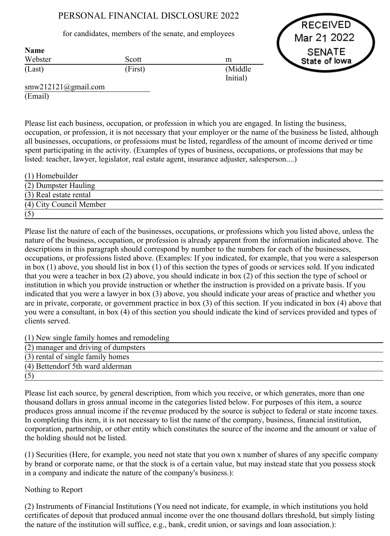# PERSONAL FINANCIAL DISCLOSURE 2022

### for candidates, members of the senate, and employees

RECEIVED Mar 21 2022 **SENATE** State of lowa

| таше<br>Webster | Scott   | m                    |
|-----------------|---------|----------------------|
| (Last)          | (First) | (Middle)<br>Initial) |

smw212121@gmail.com (Email)

 $N = 1$ 

Please list each business, occupation, or profession in which you are engaged. In listing the business, occupation, or profession, it is not necessary that your employer or the name of the business be listed, although all businesses, occupations, or professions must be listed, regardless of the amount of income derived or time spent participating in the activity. (Examples of types of business, occupations, or professions that may be listed: teacher, lawyer, legislator, real estate agent, insurance adjuster, salesperson....)

| $(1)$ Homebuilder       |  |
|-------------------------|--|
| (2) Dumpster Hauling    |  |
| (3) Real estate rental  |  |
| (4) City Council Member |  |
|                         |  |

Please list the nature of each of the businesses, occupations, or professions which you listed above, unless the nature of the business, occupation, or profession is already apparent from the information indicated above. The descriptions in this paragraph should correspond by number to the numbers for each of the businesses, occupations, or professions listed above. (Examples: If you indicated, for example, that you were a salesperson in box (1) above, you should list in box (1) of this section the types of goods or services sold. If you indicated that you were a teacher in box (2) above, you should indicate in box (2) of this section the type of school or institution in which you provide instruction or whether the instruction is provided on a private basis. If you indicated that you were a lawyer in box (3) above, you should indicate your areas of practice and whether you are in private, corporate, or government practice in box (3) of this section. If you indicated in box (4) above that you were a consultant, in box (4) of this section you should indicate the kind of services provided and types of clients served.

(1) New single family homes and remodeling

| (2) manager and driving of dumpsters |  |
|--------------------------------------|--|
| (3) rental of single family homes    |  |
| (4) Bettendorf 5th ward alderman     |  |
|                                      |  |

Please list each source, by general description, from which you receive, or which generates, more than one thousand dollars in gross annual income in the categories listed below. For purposes of this item, a source produces gross annual income if the revenue produced by the source is subject to federal or state income taxes. In completing this item, it is not necessary to list the name of the company, business, financial institution, corporation, partnership, or other entity which constitutes the source of the income and the amount or value of the holding should not be listed.

(1) Securities (Here, for example, you need not state that you own x number of shares of any specific company by brand or corporate name, or that the stock is of a certain value, but may instead state that you possess stock in a company and indicate the nature of the company's business.):

## Nothing to Report

(2) Instruments of Financial Institutions (You need not indicate, for example, in which institutions you hold certificates of deposit that produced annual income over the one thousand dollars threshold, but simply listing the nature of the institution will suffice, e.g., bank, credit union, or savings and loan association.):